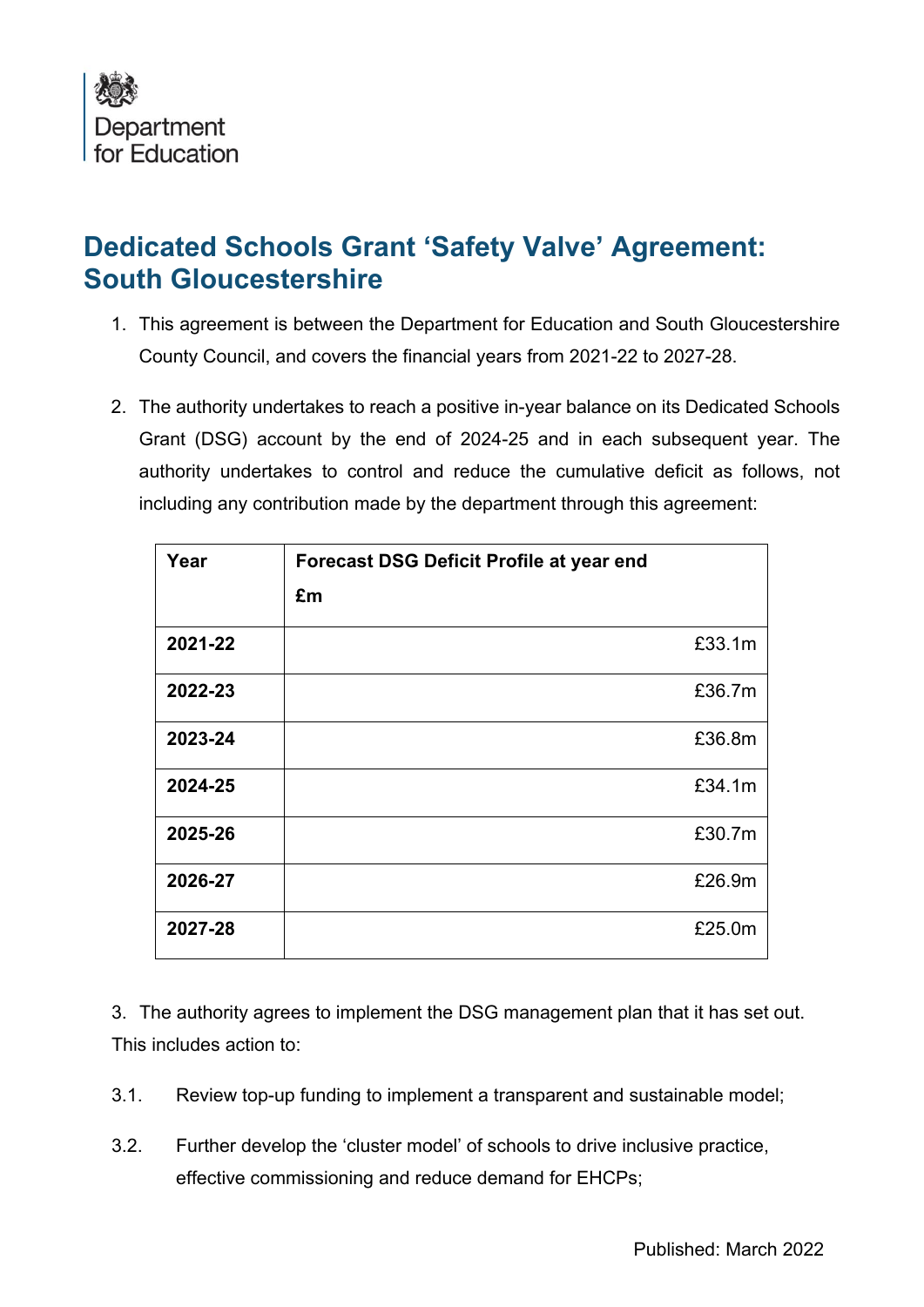

## **Dedicated Schools Grant 'Safety Valve' Agreement: South Gloucestershire**

- 1. This agreement is between the Department for Education and South Gloucestershire County Council, and covers the financial years from 2021-22 to 2027-28.
- 2. The authority undertakes to reach a positive in-year balance on its Dedicated Schools Grant (DSG) account by the end of 2024-25 and in each subsequent year. The authority undertakes to control and reduce the cumulative deficit as follows, not including any contribution made by the department through this agreement:

| Year    | <b>Forecast DSG Deficit Profile at year end</b><br>£m |        |
|---------|-------------------------------------------------------|--------|
| 2021-22 |                                                       | £33.1m |
| 2022-23 |                                                       | £36.7m |
| 2023-24 |                                                       | £36.8m |
| 2024-25 |                                                       | £34.1m |
| 2025-26 |                                                       | £30.7m |
| 2026-27 |                                                       | £26.9m |
| 2027-28 |                                                       | £25.0m |

3. The authority agrees to implement the DSG management plan that it has set out. This includes action to:

- 3.1. Review top-up funding to implement a transparent and sustainable model;
- 3.2. Further develop the 'cluster model' of schools to drive inclusive practice, effective commissioning and reduce demand for EHCPs;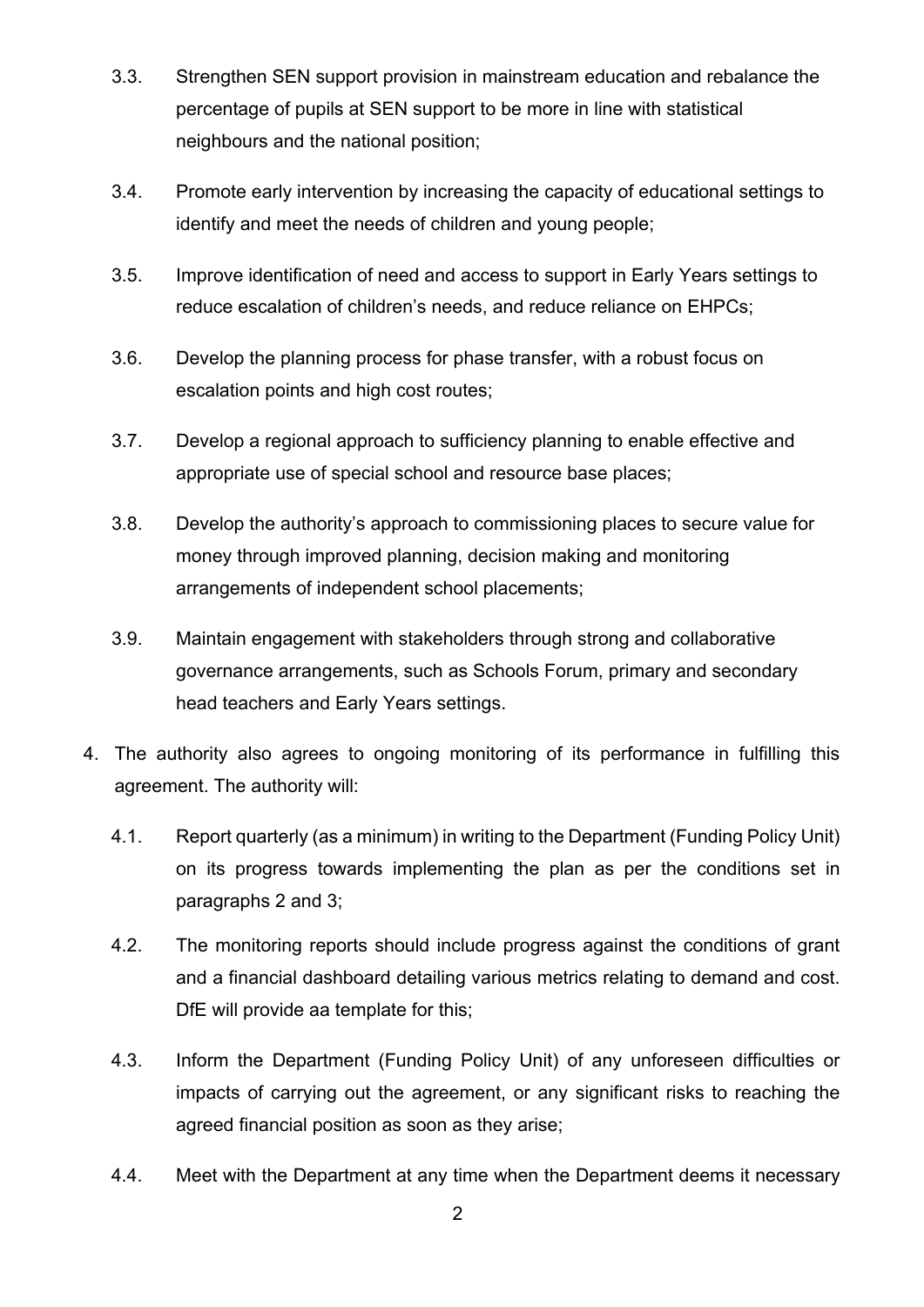- 3.3. Strengthen SEN support provision in mainstream education and rebalance the percentage of pupils at SEN support to be more in line with statistical neighbours and the national position;
- 3.4. Promote early intervention by increasing the capacity of educational settings to identify and meet the needs of children and young people;
- 3.5. Improve identification of need and access to support in Early Years settings to reduce escalation of children's needs, and reduce reliance on EHPCs;
- 3.6. Develop the planning process for phase transfer, with a robust focus on escalation points and high cost routes;
- 3.7. Develop a regional approach to sufficiency planning to enable effective and appropriate use of special school and resource base places;
- 3.8. Develop the authority's approach to commissioning places to secure value for money through improved planning, decision making and monitoring arrangements of independent school placements;
- 3.9. Maintain engagement with stakeholders through strong and collaborative governance arrangements, such as Schools Forum, primary and secondary head teachers and Early Years settings.
- 4. The authority also agrees to ongoing monitoring of its performance in fulfilling this agreement. The authority will:
	- 4.1. Report quarterly (as a minimum) in writing to the Department (Funding Policy Unit) on its progress towards implementing the plan as per the conditions set in paragraphs 2 and 3;
	- 4.2. The monitoring reports should include progress against the conditions of grant and a financial dashboard detailing various metrics relating to demand and cost. DfE will provide aa template for this;
	- 4.3. Inform the Department (Funding Policy Unit) of any unforeseen difficulties or impacts of carrying out the agreement, or any significant risks to reaching the agreed financial position as soon as they arise;
	- 4.4. Meet with the Department at any time when the Department deems it necessary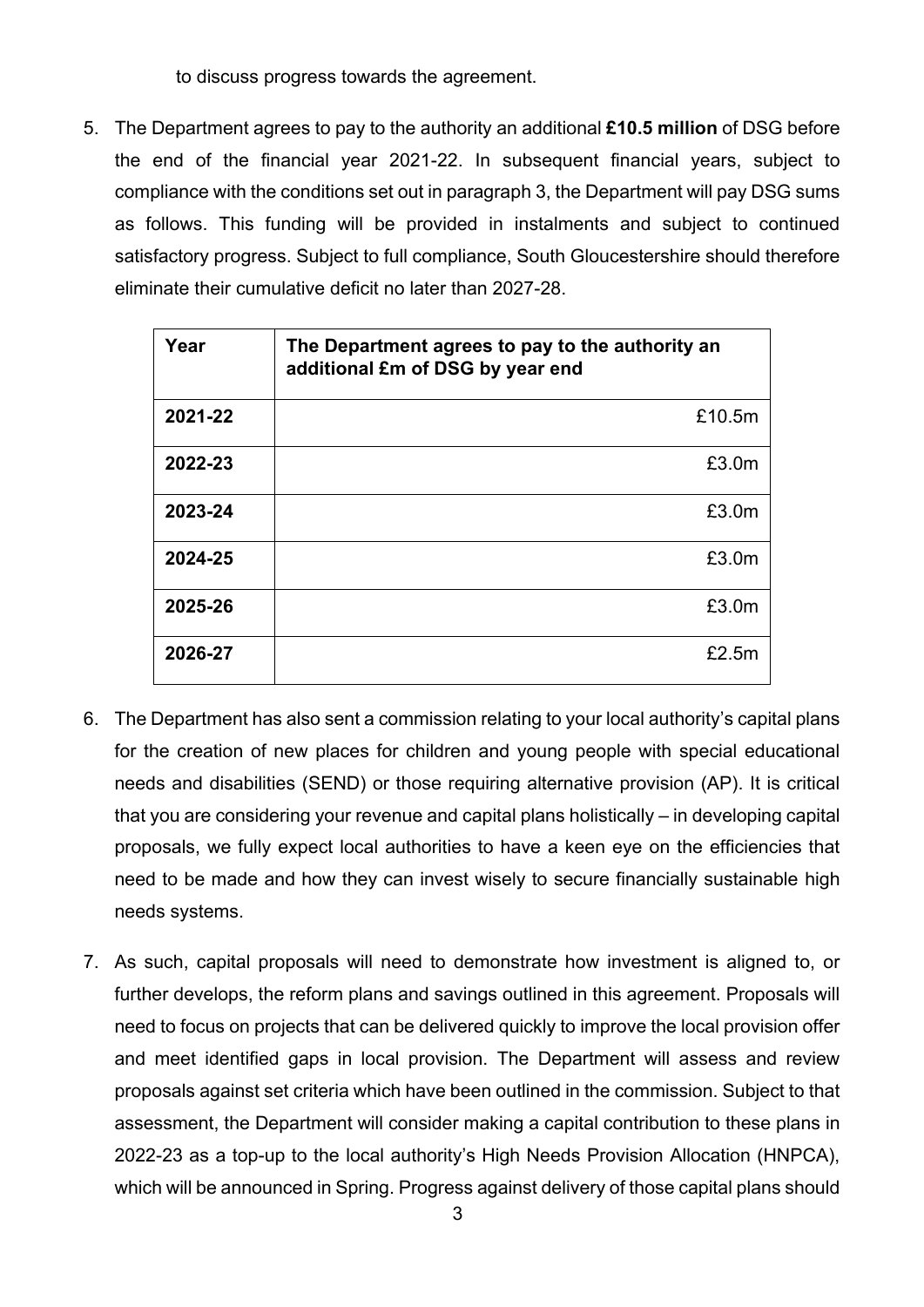to discuss progress towards the agreement.

5. The Department agrees to pay to the authority an additional **£10.5 million** of DSG before the end of the financial year 2021-22. In subsequent financial years, subject to compliance with the conditions set out in paragraph 3, the Department will pay DSG sums as follows. This funding will be provided in instalments and subject to continued satisfactory progress. Subject to full compliance, South Gloucestershire should therefore eliminate their cumulative deficit no later than 2027-28.

| Year    | The Department agrees to pay to the authority an<br>additional £m of DSG by year end |  |
|---------|--------------------------------------------------------------------------------------|--|
| 2021-22 | £10.5m                                                                               |  |
| 2022-23 | £3.0m                                                                                |  |
| 2023-24 | £3.0m                                                                                |  |
| 2024-25 | £3.0m                                                                                |  |
| 2025-26 | £3.0m                                                                                |  |
| 2026-27 | £2.5m                                                                                |  |

- 6. The Department has also sent a commission relating to your local authority's capital plans for the creation of new places for children and young people with special educational needs and disabilities (SEND) or those requiring alternative provision (AP). It is critical that you are considering your revenue and capital plans holistically – in developing capital proposals, we fully expect local authorities to have a keen eye on the efficiencies that need to be made and how they can invest wisely to secure financially sustainable high needs systems.
- 7. As such, capital proposals will need to demonstrate how investment is aligned to, or further develops, the reform plans and savings outlined in this agreement. Proposals will need to focus on projects that can be delivered quickly to improve the local provision offer and meet identified gaps in local provision. The Department will assess and review proposals against set criteria which have been outlined in the commission. Subject to that assessment, the Department will consider making a capital contribution to these plans in 2022-23 as a top-up to the local authority's High Needs Provision Allocation (HNPCA), which will be announced in Spring. Progress against delivery of those capital plans should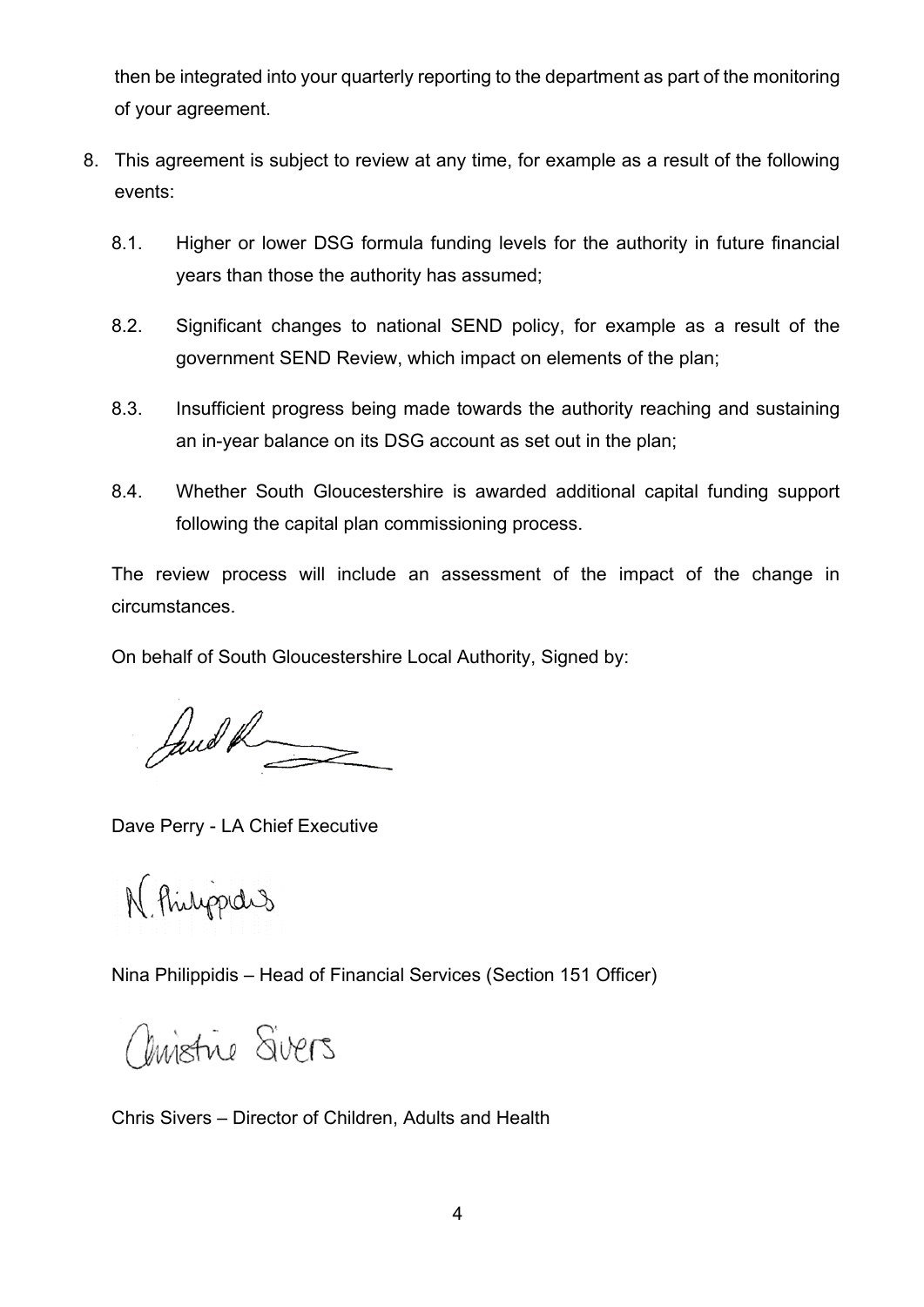then be integrated into your quarterly reporting to the department as part of the monitoring of your agreement.

- 8. This agreement is subject to review at any time, for example as a result of the following events:
	- 8.1. Higher or lower DSG formula funding levels for the authority in future financial years than those the authority has assumed;
	- 8.2. Significant changes to national SEND policy, for example as a result of the government SEND Review, which impact on elements of the plan;
	- 8.3. Insufficient progress being made towards the authority reaching and sustaining an in-year balance on its DSG account as set out in the plan;
	- 8.4. Whether South Gloucestershire is awarded additional capital funding support following the capital plan commissioning process.

The review process will include an assessment of the impact of the change in circumstances.

On behalf of South Gloucestershire Local Authority, Signed by:

Janet R

Dave Perry - LA Chief Executive

N Philippedis

Nina Philippidis – Head of Financial Services (Section 151 Officer)

Christine Sivers

Chris Sivers – Director of Children, Adults and Health